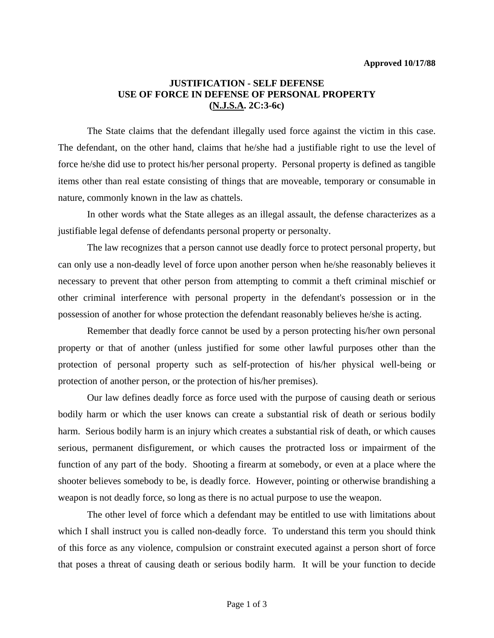## **JUSTIFICATION - SELF DEFENSE USE OF FORCE IN DEFENSE OF PERSONAL PROPERTY (N.J.S.A. 2C:3-6c)**

 The State claims that the defendant illegally used force against the victim in this case. The defendant, on the other hand, claims that he/she had a justifiable right to use the level of force he/she did use to protect his/her personal property. Personal property is defined as tangible items other than real estate consisting of things that are moveable, temporary or consumable in nature, commonly known in the law as chattels.

 In other words what the State alleges as an illegal assault, the defense characterizes as a justifiable legal defense of defendants personal property or personalty.

 The law recognizes that a person cannot use deadly force to protect personal property, but can only use a non-deadly level of force upon another person when he/she reasonably believes it necessary to prevent that other person from attempting to commit a theft criminal mischief or other criminal interference with personal property in the defendant's possession or in the possession of another for whose protection the defendant reasonably believes he/she is acting.

 Remember that deadly force cannot be used by a person protecting his/her own personal property or that of another (unless justified for some other lawful purposes other than the protection of personal property such as self-protection of his/her physical well-being or protection of another person, or the protection of his/her premises).

 Our law defines deadly force as force used with the purpose of causing death or serious bodily harm or which the user knows can create a substantial risk of death or serious bodily harm. Serious bodily harm is an injury which creates a substantial risk of death, or which causes serious, permanent disfigurement, or which causes the protracted loss or impairment of the function of any part of the body. Shooting a firearm at somebody, or even at a place where the shooter believes somebody to be, is deadly force. However, pointing or otherwise brandishing a weapon is not deadly force, so long as there is no actual purpose to use the weapon.

 The other level of force which a defendant may be entitled to use with limitations about which I shall instruct you is called non-deadly force. To understand this term you should think of this force as any violence, compulsion or constraint executed against a person short of force that poses a threat of causing death or serious bodily harm. It will be your function to decide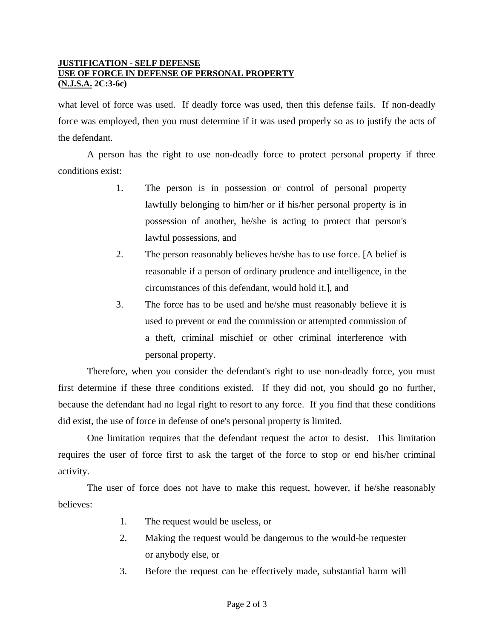#### **JUSTIFICATION - SELF DEFENSE USE OF FORCE IN DEFENSE OF PERSONAL PROPERTY (N.J.S.A. 2C:3-6c)**

what level of force was used. If deadly force was used, then this defense fails. If non-deadly force was employed, then you must determine if it was used properly so as to justify the acts of the defendant.

 A person has the right to use non-deadly force to protect personal property if three conditions exist:

- 1. The person is in possession or control of personal property lawfully belonging to him/her or if his/her personal property is in possession of another, he/she is acting to protect that person's lawful possessions, and
- 2. The person reasonably believes he/she has to use force. [A belief is reasonable if a person of ordinary prudence and intelligence, in the circumstances of this defendant, would hold it.], and
- 3. The force has to be used and he/she must reasonably believe it is used to prevent or end the commission or attempted commission of a theft, criminal mischief or other criminal interference with personal property.

 Therefore, when you consider the defendant's right to use non-deadly force, you must first determine if these three conditions existed. If they did not, you should go no further, because the defendant had no legal right to resort to any force. If you find that these conditions did exist, the use of force in defense of one's personal property is limited.

 One limitation requires that the defendant request the actor to desist. This limitation requires the user of force first to ask the target of the force to stop or end his/her criminal activity.

The user of force does not have to make this request, however, if he/she reasonably believes:

- 1. The request would be useless, or
- 2. Making the request would be dangerous to the would-be requester or anybody else, or
- 3. Before the request can be effectively made, substantial harm will